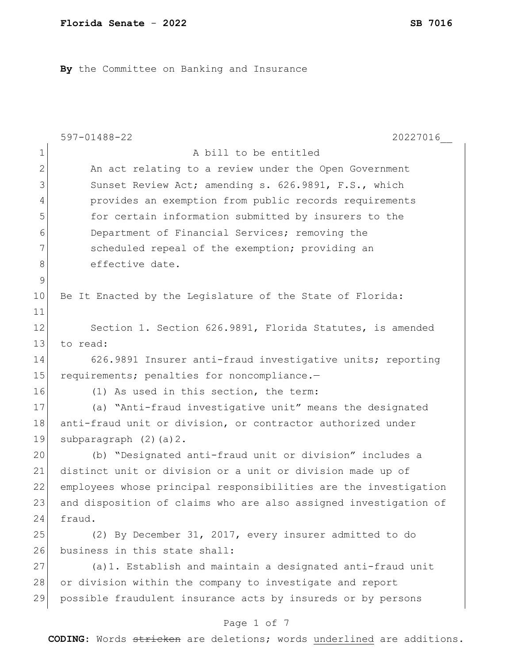**By** the Committee on Banking and Insurance

|                                                                              | $597 - 01488 - 22$<br>20227016                                   |  |  |  |
|------------------------------------------------------------------------------|------------------------------------------------------------------|--|--|--|
| $\mathbf 1$                                                                  | A bill to be entitled                                            |  |  |  |
| $\mathbf{2}$                                                                 | An act relating to a review under the Open Government            |  |  |  |
| 3                                                                            | Sunset Review Act; amending s. 626.9891, F.S., which             |  |  |  |
| 4                                                                            | provides an exemption from public records requirements           |  |  |  |
| 5                                                                            | for certain information submitted by insurers to the             |  |  |  |
| 6                                                                            | Department of Financial Services; removing the                   |  |  |  |
| 7                                                                            | scheduled repeal of the exemption; providing an                  |  |  |  |
| $\,8\,$                                                                      | effective date.                                                  |  |  |  |
| $\mathcal{G}$                                                                |                                                                  |  |  |  |
| 10                                                                           | Be It Enacted by the Legislature of the State of Florida:        |  |  |  |
| 11                                                                           |                                                                  |  |  |  |
| 12                                                                           | Section 1. Section 626.9891, Florida Statutes, is amended        |  |  |  |
| 13                                                                           | to read:                                                         |  |  |  |
| 14                                                                           | 626.9891 Insurer anti-fraud investigative units; reporting       |  |  |  |
| 15                                                                           | requirements; penalties for noncompliance.-                      |  |  |  |
| 16                                                                           | (1) As used in this section, the term:                           |  |  |  |
| 17                                                                           | (a) "Anti-fraud investigative unit" means the designated         |  |  |  |
| 18                                                                           | anti-fraud unit or division, or contractor authorized under      |  |  |  |
| 19                                                                           | subparagraph $(2)$ $(a)$ $2$ .                                   |  |  |  |
| 20                                                                           | (b) "Designated anti-fraud unit or division" includes a          |  |  |  |
| 21                                                                           | distinct unit or division or a unit or division made up of       |  |  |  |
| 22                                                                           | employees whose principal responsibilities are the investigation |  |  |  |
| 23                                                                           | and disposition of claims who are also assigned investigation of |  |  |  |
| 24                                                                           | fraud.                                                           |  |  |  |
| 25                                                                           | (2) By December 31, 2017, every insurer admitted to do           |  |  |  |
| 26                                                                           | business in this state shall:                                    |  |  |  |
| 27                                                                           | (a) 1. Establish and maintain a designated anti-fraud unit       |  |  |  |
| 28                                                                           | or division within the company to investigate and report         |  |  |  |
| 29                                                                           | possible fraudulent insurance acts by insureds or by persons     |  |  |  |
| Page 1 of 7                                                                  |                                                                  |  |  |  |
| <b>CODING:</b> Words stricken are deletions; words underlined are additions. |                                                                  |  |  |  |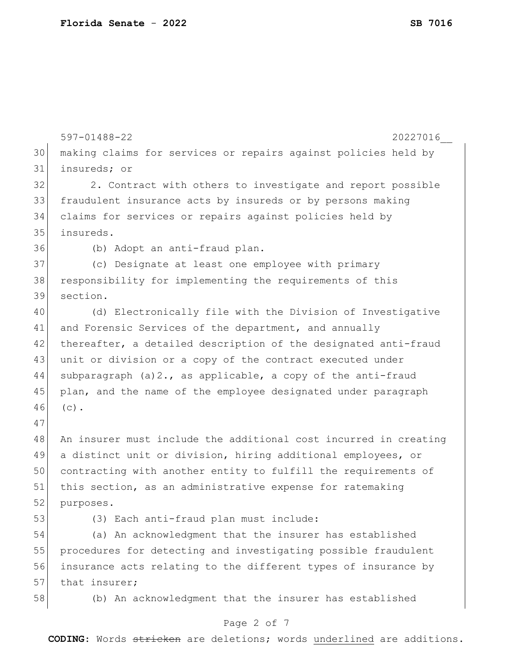|    | $597 - 01488 - 22$<br>20227016                                   |  |  |  |
|----|------------------------------------------------------------------|--|--|--|
| 30 | making claims for services or repairs against policies held by   |  |  |  |
| 31 | insureds; or                                                     |  |  |  |
| 32 | 2. Contract with others to investigate and report possible       |  |  |  |
| 33 | fraudulent insurance acts by insureds or by persons making       |  |  |  |
| 34 | claims for services or repairs against policies held by          |  |  |  |
| 35 | insureds.                                                        |  |  |  |
| 36 | (b) Adopt an anti-fraud plan.                                    |  |  |  |
| 37 | (c) Designate at least one employee with primary                 |  |  |  |
| 38 | responsibility for implementing the requirements of this         |  |  |  |
| 39 | section.                                                         |  |  |  |
| 40 | (d) Electronically file with the Division of Investigative       |  |  |  |
| 41 | and Forensic Services of the department, and annually            |  |  |  |
| 42 | thereafter, a detailed description of the designated anti-fraud  |  |  |  |
| 43 | unit or division or a copy of the contract executed under        |  |  |  |
| 44 | subparagraph $(a) 2.$ , as applicable, a copy of the anti-fraud  |  |  |  |
| 45 | plan, and the name of the employee designated under paragraph    |  |  |  |
| 46 | $(c)$ .                                                          |  |  |  |
| 47 |                                                                  |  |  |  |
| 48 | An insurer must include the additional cost incurred in creating |  |  |  |
| 49 | a distinct unit or division, hiring additional employees, or     |  |  |  |
| 50 | contracting with another entity to fulfill the requirements of   |  |  |  |
| 51 | this section, as an administrative expense for ratemaking        |  |  |  |
| 52 | purposes.                                                        |  |  |  |
| 53 | (3) Each anti-fraud plan must include:                           |  |  |  |
| 54 | (a) An acknowledgment that the insurer has established           |  |  |  |
| 55 | procedures for detecting and investigating possible fraudulent   |  |  |  |
| 56 | insurance acts relating to the different types of insurance by   |  |  |  |
| 57 | that insurer;                                                    |  |  |  |
| 58 | (b) An acknowledgment that the insurer has established           |  |  |  |
|    | Page 2 of 7                                                      |  |  |  |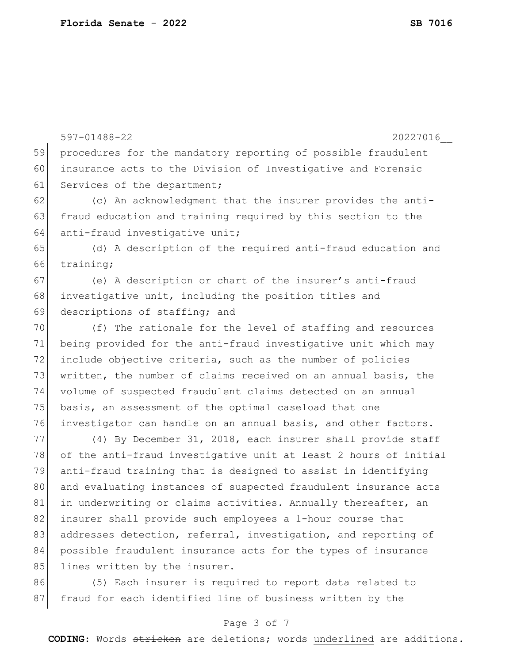|    | 20227016<br>$597 - 01488 - 22$                                   |
|----|------------------------------------------------------------------|
| 59 | procedures for the mandatory reporting of possible fraudulent    |
| 60 | insurance acts to the Division of Investigative and Forensic     |
| 61 | Services of the department;                                      |
| 62 | (c) An acknowledgment that the insurer provides the anti-        |
| 63 | fraud education and training required by this section to the     |
| 64 | anti-fraud investigative unit;                                   |
| 65 | (d) A description of the required anti-fraud education and       |
| 66 | training;                                                        |
| 67 | (e) A description or chart of the insurer's anti-fraud           |
| 68 | investigative unit, including the position titles and            |
| 69 | descriptions of staffing; and                                    |
| 70 | (f) The rationale for the level of staffing and resources        |
| 71 | being provided for the anti-fraud investigative unit which may   |
| 72 | include objective criteria, such as the number of policies       |
| 73 | written, the number of claims received on an annual basis, the   |
| 74 | volume of suspected fraudulent claims detected on an annual      |
| 75 | basis, an assessment of the optimal caseload that one            |
| 76 | investigator can handle on an annual basis, and other factors.   |
| 77 | (4) By December 31, 2018, each insurer shall provide staff       |
| 78 | of the anti-fraud investigative unit at least 2 hours of initial |
| 79 | anti-fraud training that is designed to assist in identifying    |
| 80 | and evaluating instances of suspected fraudulent insurance acts  |
| 81 | in underwriting or claims activities. Annually thereafter, an    |
| 82 | insurer shall provide such employees a 1-hour course that        |
| 83 | addresses detection, referral, investigation, and reporting of   |
| 84 | possible fraudulent insurance acts for the types of insurance    |
| 85 | lines written by the insurer.                                    |
| 86 | (5) Each insurer is required to report data related to           |
| 87 | fraud for each identified line of business written by the        |

# Page 3 of 7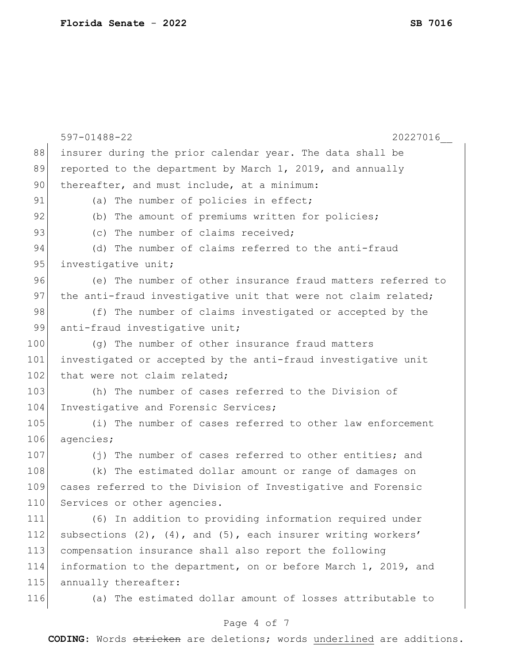|     | 597-01488-22<br>20227016                                              |  |  |  |
|-----|-----------------------------------------------------------------------|--|--|--|
| 88  | insurer during the prior calendar year. The data shall be             |  |  |  |
| 89  | reported to the department by March 1, 2019, and annually             |  |  |  |
| 90  | thereafter, and must include, at a minimum:                           |  |  |  |
| 91  | (a) The number of policies in effect;                                 |  |  |  |
| 92  | (b) The amount of premiums written for policies;                      |  |  |  |
| 93  | (c) The number of claims received;                                    |  |  |  |
| 94  | (d) The number of claims referred to the anti-fraud                   |  |  |  |
| 95  | investigative unit;                                                   |  |  |  |
| 96  | (e) The number of other insurance fraud matters referred to           |  |  |  |
| 97  | the anti-fraud investigative unit that were not claim related;        |  |  |  |
| 98  | (f) The number of claims investigated or accepted by the              |  |  |  |
| 99  | anti-fraud investigative unit;                                        |  |  |  |
| 100 | (g) The number of other insurance fraud matters                       |  |  |  |
| 101 | investigated or accepted by the anti-fraud investigative unit         |  |  |  |
| 102 | that were not claim related;                                          |  |  |  |
| 103 | (h) The number of cases referred to the Division of                   |  |  |  |
| 104 | Investigative and Forensic Services;                                  |  |  |  |
| 105 | (i) The number of cases referred to other law enforcement             |  |  |  |
| 106 | agencies;                                                             |  |  |  |
| 107 | (j) The number of cases referred to other entities; and               |  |  |  |
| 108 | (k) The estimated dollar amount or range of damages on                |  |  |  |
| 109 | cases referred to the Division of Investigative and Forensic          |  |  |  |
| 110 | Services or other agencies.                                           |  |  |  |
| 111 | (6) In addition to providing information required under               |  |  |  |
| 112 | subsections $(2)$ , $(4)$ , and $(5)$ , each insurer writing workers' |  |  |  |
| 113 | compensation insurance shall also report the following                |  |  |  |
| 114 | information to the department, on or before March 1, 2019, and        |  |  |  |
| 115 | annually thereafter:                                                  |  |  |  |
| 116 | (a) The estimated dollar amount of losses attributable to             |  |  |  |

# Page 4 of 7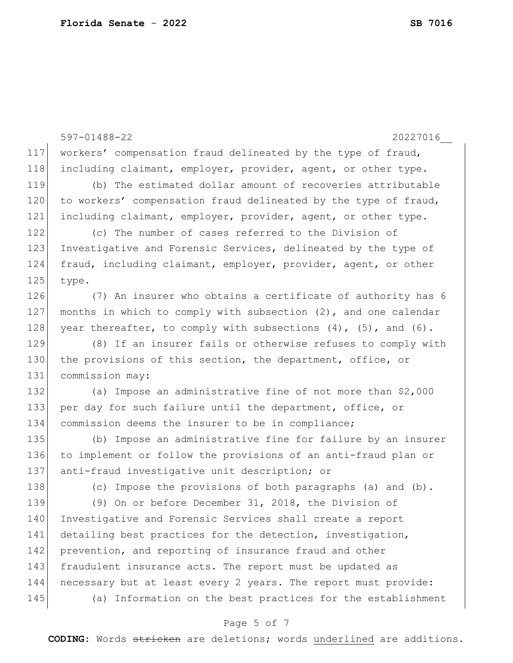```
597-01488-22 20227016__
                              Page 5 of 7
117 workers' compensation fraud delineated by the type of fraud, 
118 including claimant, employer, provider, agent, or other type.
119 (b) The estimated dollar amount of recoveries attributable 
120 to workers' compensation fraud delineated by the type of fraud,
121 including claimant, employer, provider, agent, or other type.
122 (c) The number of cases referred to the Division of 
123 Investigative and Forensic Services, delineated by the type of
124 fraud, including claimant, employer, provider, agent, or other 
125 type.
126 (7) An insurer who obtains a certificate of authority has 6
127 | months in which to comply with subsection (2), and one calendar
128 year thereafter, to comply with subsections (4), (5), and (6).
129 (8) If an insurer fails or otherwise refuses to comply with
130 the provisions of this section, the department, office, or
131 commission may:
132 (a) Impose an administrative fine of not more than $2,000
133 per day for such failure until the department, office, or 
134 commission deems the insurer to be in compliance;
135 (b) Impose an administrative fine for failure by an insurer 
136 to implement or follow the provisions of an anti-fraud plan or 
137 anti-fraud investigative unit description; or
138 (c) Impose the provisions of both paragraphs (a) and (b).
139 (9) On or before December 31, 2018, the Division of 
140 Investigative and Forensic Services shall create a report 
141 detailing best practices for the detection, investigation,
142 prevention, and reporting of insurance fraud and other
143 fraudulent insurance acts. The report must be updated as
144 necessary but at least every 2 years. The report must provide:
145 (a) Information on the best practices for the establishment
```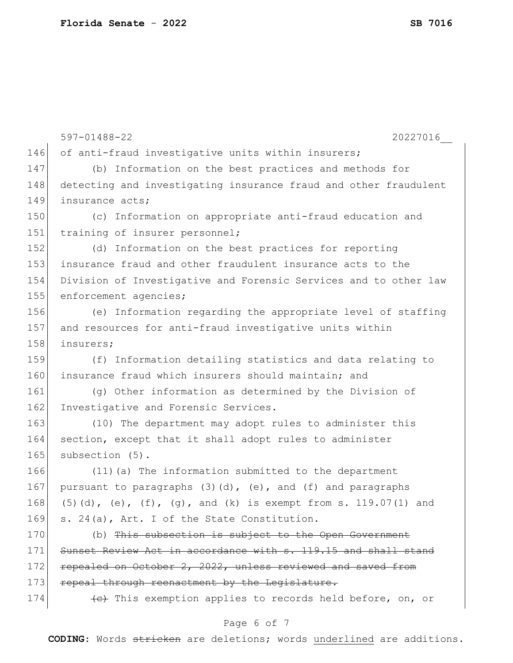|     | 20227016<br>$597 - 01488 - 22$                                        |  |  |  |
|-----|-----------------------------------------------------------------------|--|--|--|
| 146 | of anti-fraud investigative units within insurers;                    |  |  |  |
| 147 | (b) Information on the best practices and methods for                 |  |  |  |
| 148 | detecting and investigating insurance fraud and other fraudulent      |  |  |  |
| 149 | insurance acts;                                                       |  |  |  |
| 150 | (c) Information on appropriate anti-fraud education and               |  |  |  |
| 151 | training of insurer personnel;                                        |  |  |  |
| 152 | (d) Information on the best practices for reporting                   |  |  |  |
| 153 | insurance fraud and other fraudulent insurance acts to the            |  |  |  |
| 154 | Division of Investigative and Forensic Services and to other law      |  |  |  |
| 155 | enforcement agencies;                                                 |  |  |  |
| 156 | (e) Information regarding the appropriate level of staffing           |  |  |  |
| 157 | and resources for anti-fraud investigative units within               |  |  |  |
| 158 | insurers;                                                             |  |  |  |
| 159 | (f) Information detailing statistics and data relating to             |  |  |  |
| 160 | insurance fraud which insurers should maintain; and                   |  |  |  |
| 161 | (g) Other information as determined by the Division of                |  |  |  |
| 162 | Investigative and Forensic Services.                                  |  |  |  |
| 163 | (10) The department may adopt rules to administer this                |  |  |  |
| 164 | section, except that it shall adopt rules to administer               |  |  |  |
| 165 | subsection (5).                                                       |  |  |  |
| 166 | (11) (a) The information submitted to the department                  |  |  |  |
| 167 | pursuant to paragraphs $(3)$ $(d)$ , $(e)$ , and $(f)$ and paragraphs |  |  |  |
| 168 | $(5)$ (d), (e), (f), (g), and (k) is exempt from s. 119.07(1) and     |  |  |  |
| 169 | s. 24(a), Art. I of the State Constitution.                           |  |  |  |
| 170 | (b) This subsection is subject to the Open Government                 |  |  |  |
| 171 | Sunset Review Act in accordance with s. 119.15 and shall stand        |  |  |  |
| 172 | repealed on October 2, 2022, unless reviewed and saved from           |  |  |  |
| 173 | repeal through reenactment by the Legislature.                        |  |  |  |
| 174 | (e) This exemption applies to records held before, on, or             |  |  |  |
|     |                                                                       |  |  |  |

# Page 6 of 7